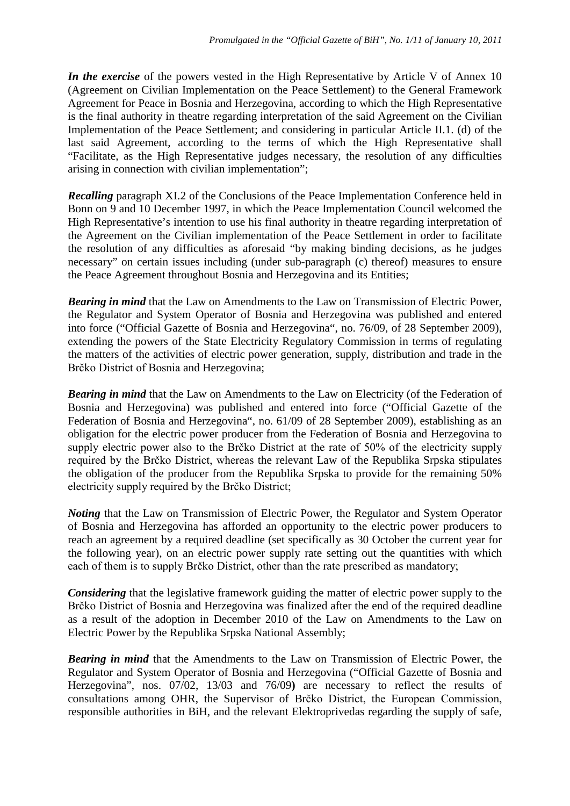*In the exercise* of the powers vested in the High Representative by Article V of Annex 10 (Agreement on Civilian Implementation on the Peace Settlement) to the General Framework Agreement for Peace in Bosnia and Herzegovina, according to which the High Representative is the final authority in theatre regarding interpretation of the said Agreement on the Civilian Implementation of the Peace Settlement; and considering in particular Article II.1. (d) of the last said Agreement, according to the terms of which the High Representative shall "Facilitate, as the High Representative judges necessary, the resolution of any difficulties arising in connection with civilian implementation";

*Recalling* paragraph XI.2 of the Conclusions of the Peace Implementation Conference held in Bonn on 9 and 10 December 1997, in which the Peace Implementation Council welcomed the High Representative's intention to use his final authority in theatre regarding interpretation of the Agreement on the Civilian implementation of the Peace Settlement in order to facilitate the resolution of any difficulties as aforesaid "by making binding decisions, as he judges necessary" on certain issues including (under sub-paragraph (c) thereof) measures to ensure the Peace Agreement throughout Bosnia and Herzegovina and its Entities;

*Bearing in mind* that the Law on Amendments to the Law on Transmission of Electric Power, the Regulator and System Operator of Bosnia and Herzegovina was published and entered into force ("Official Gazette of Bosnia and Herzegovina", no. 76/09, of 28 September 2009), extending the powers of the State Electricity Regulatory Commission in terms of regulating the matters of the activities of electric power generation, supply, distribution and trade in the Brčko District of Bosnia and Herzegovina;

*Bearing in mind* that the Law on Amendments to the Law on Electricity (of the Federation of Bosnia and Herzegovina) was published and entered into force ("Official Gazette of the Federation of Bosnia and Herzegovina", no. 61/09 of 28 September 2009), establishing as an obligation for the electric power producer from the Federation of Bosnia and Herzegovina to supply electric power also to the Brčko District at the rate of 50% of the electricity supply required by the Brčko District, whereas the relevant Law of the Republika Srpska stipulates the obligation of the producer from the Republika Srpska to provide for the remaining 50% electricity supply required by the Brčko District;

*Noting* that the Law on Transmission of Electric Power, the Regulator and System Operator of Bosnia and Herzegovina has afforded an opportunity to the electric power producers to reach an agreement by a required deadline (set specifically as 30 October the current year for the following year), on an electric power supply rate setting out the quantities with which each of them is to supply Brčko District, other than the rate prescribed as mandatory;

*Considering* that the legislative framework guiding the matter of electric power supply to the Brčko District of Bosnia and Herzegovina was finalized after the end of the required deadline as a result of the adoption in December 2010 of the Law on Amendments to the Law on Electric Power by the Republika Srpska National Assembly;

*Bearing in mind* that the Amendments to the Law on Transmission of Electric Power, the Regulator and System Operator of Bosnia and Herzegovina ("Official Gazette of Bosnia and Herzegovina", nos. 07/02, 13/03 and 76/09**)** are necessary to reflect the results of consultations among OHR, the Supervisor of Brčko District, the European Commission, responsible authorities in BiH, and the relevant Elektroprivedas regarding the supply of safe,